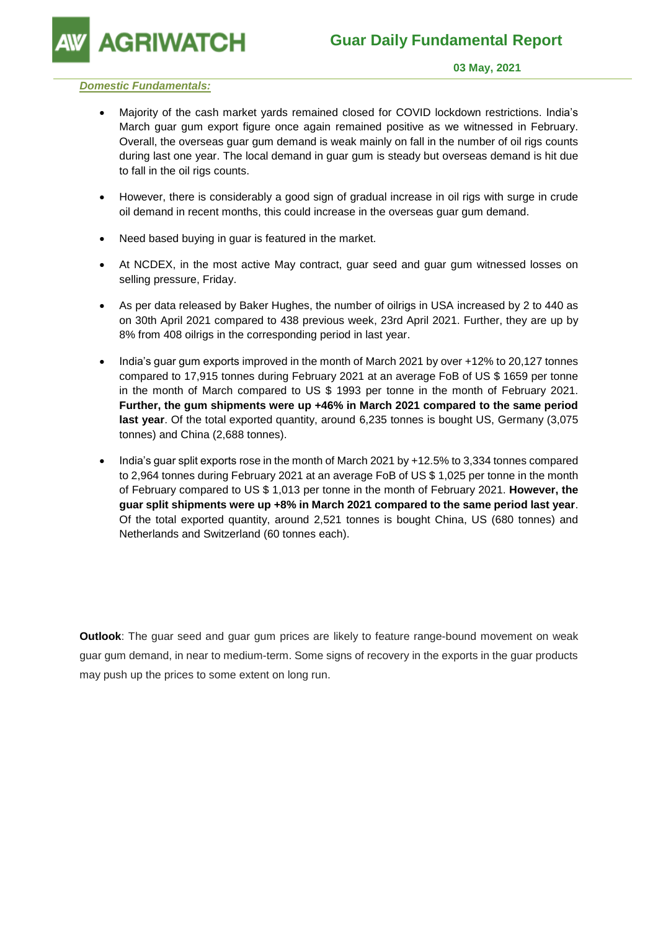**GRIWATCH** 

#### **03 May, 2021**

### *Domestic Fundamentals:*

- Majority of the cash market yards remained closed for COVID lockdown restrictions. India's March guar gum export figure once again remained positive as we witnessed in February. Overall, the overseas guar gum demand is weak mainly on fall in the number of oil rigs counts during last one year. The local demand in guar gum is steady but overseas demand is hit due to fall in the oil rigs counts.
- However, there is considerably a good sign of gradual increase in oil rigs with surge in crude oil demand in recent months, this could increase in the overseas guar gum demand.
- Need based buying in guar is featured in the market.
- At NCDEX, in the most active May contract, guar seed and guar gum witnessed losses on selling pressure, Friday.
- As per data released by Baker Hughes, the number of oilrigs in USA increased by 2 to 440 as on 30th April 2021 compared to 438 previous week, 23rd April 2021. Further, they are up by 8% from 408 oilrigs in the corresponding period in last year.
- India's guar gum exports improved in the month of March 2021 by over +12% to 20,127 tonnes compared to 17,915 tonnes during February 2021 at an average FoB of US \$ 1659 per tonne in the month of March compared to US \$ 1993 per tonne in the month of February 2021. **Further, the gum shipments were up +46% in March 2021 compared to the same period last year**. Of the total exported quantity, around 6,235 tonnes is bought US, Germany (3,075 tonnes) and China (2,688 tonnes).
- India's guar split exports rose in the month of March 2021 by +12.5% to 3,334 tonnes compared to 2,964 tonnes during February 2021 at an average FoB of US \$ 1,025 per tonne in the month of February compared to US \$ 1,013 per tonne in the month of February 2021. **However, the guar split shipments were up +8% in March 2021 compared to the same period last year**. Of the total exported quantity, around 2,521 tonnes is bought China, US (680 tonnes) and Netherlands and Switzerland (60 tonnes each).

**Outlook**: The guar seed and guar gum prices are likely to feature range-bound movement on weak guar gum demand, in near to medium-term. Some signs of recovery in the exports in the guar products may push up the prices to some extent on long run.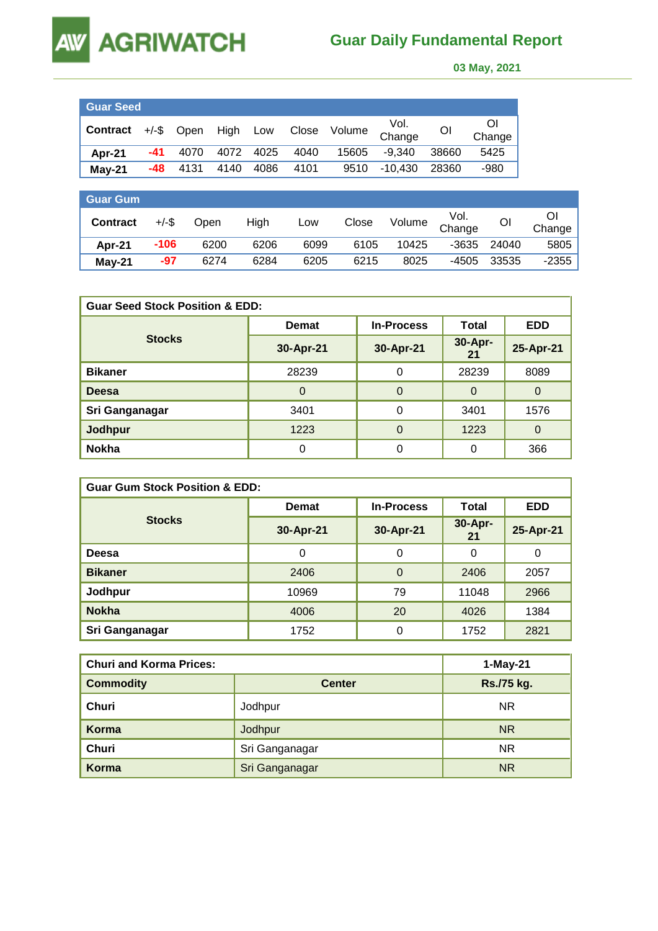# **AGRIWATCH**

**AW** 

## **Guar Daily Fundamental Report**

 **03 May, 2021** 

| <b>Guar Seed</b>                                              |     |      |      |           |      |       |         |                |              |
|---------------------------------------------------------------|-----|------|------|-----------|------|-------|---------|----------------|--------------|
| <sup>1</sup> Contract +/-\$ Open High Low Close Volume Change |     |      |      |           |      |       |         | O <sub>1</sub> | Οl<br>Change |
| Apr-21                                                        | -41 | 4070 |      | 4072 4025 | 4040 | 15605 | -9.340  | 38660          | 5425         |
| $May-21$                                                      | -48 | 4131 | 4140 | 4086      | 4101 | 9510  | -10.430 | 28360          | -980         |

| <b>Guar Gum</b> |          |      |      |      |       |        |                |       |         |
|-----------------|----------|------|------|------|-------|--------|----------------|-------|---------|
| <b>Contract</b> | $+/-$ \$ | Open | High | Low  | Close | Volume | Vol.<br>Change | OI    | Change  |
| Apr-21          | $-106$   | 6200 | 6206 | 6099 | 6105  | 10425  | $-3635$        | 24040 | 5805    |
| $May-21$        | $-97$    | 6274 | 6284 | 6205 | 6215  | 8025   | -4505          | 33535 | $-2355$ |

| <b>Guar Seed Stock Position &amp; EDD:</b> |              |                   |               |            |  |  |  |
|--------------------------------------------|--------------|-------------------|---------------|------------|--|--|--|
|                                            | <b>Demat</b> | <b>In-Process</b> | <b>Total</b>  | <b>EDD</b> |  |  |  |
| <b>Stocks</b>                              | 30-Apr-21    | 30-Apr-21         | 30-Apr-<br>21 | 25-Apr-21  |  |  |  |
| <b>Bikaner</b>                             | 28239        | $\Omega$          | 28239         | 8089       |  |  |  |
| <b>Deesa</b>                               | $\Omega$     | $\Omega$          | $\Omega$      | $\Omega$   |  |  |  |
| Sri Ganganagar                             | 3401         | 0                 | 3401          | 1576       |  |  |  |
| Jodhpur                                    | 1223         | $\Omega$          | 1223          | $\Omega$   |  |  |  |
| <b>Nokha</b>                               |              | 0                 | 0             | 366        |  |  |  |

| <b>Guar Gum Stock Position &amp; EDD:</b> |              |                   |               |            |  |  |  |
|-------------------------------------------|--------------|-------------------|---------------|------------|--|--|--|
|                                           | <b>Demat</b> | <b>In-Process</b> | Total         | <b>EDD</b> |  |  |  |
| <b>Stocks</b>                             | 30-Apr-21    | 30-Apr-21         | 30-Apr-<br>21 | 25-Apr-21  |  |  |  |
| Deesa                                     | 0            | $\Omega$          | 0             | 0          |  |  |  |
| <b>Bikaner</b>                            | 2406         | $\Omega$          | 2406          | 2057       |  |  |  |
| Jodhpur                                   | 10969        | 79                | 11048         | 2966       |  |  |  |
| <b>Nokha</b>                              | 4006         | 20                | 4026          | 1384       |  |  |  |
| Sri Ganganagar                            | 1752         | 0                 | 1752          | 2821       |  |  |  |

| <b>Churi and Korma Prices:</b> | 1-May-21       |            |
|--------------------------------|----------------|------------|
| <b>Commodity</b>               | <b>Center</b>  | Rs./75 kg. |
| Churi                          | Jodhpur        | <b>NR</b>  |
| Korma                          | Jodhpur        | <b>NR</b>  |
| <b>Churi</b>                   | Sri Ganganagar | NR.        |
| Korma                          | Sri Ganganagar | <b>NR</b>  |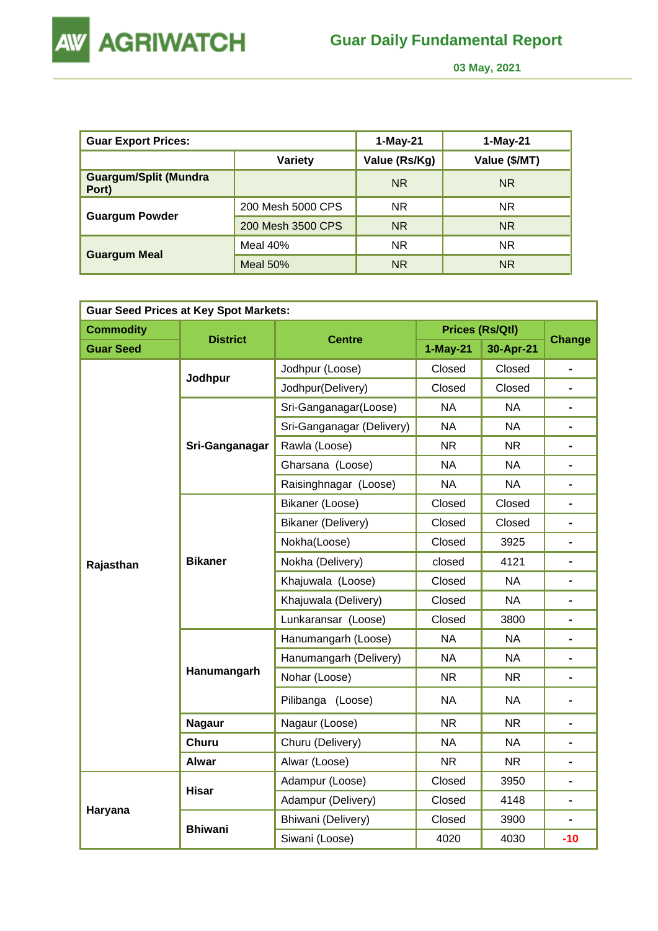

 **03 May, 2021** 

| <b>Guar Export Prices:</b>            |                   | 1-May-21      | 1-May-21      |
|---------------------------------------|-------------------|---------------|---------------|
|                                       | <b>Variety</b>    | Value (Rs/Kg) | Value (\$/MT) |
| <b>Guargum/Split (Mundra</b><br>Port) |                   | <b>NR</b>     | <b>NR</b>     |
|                                       | 200 Mesh 5000 CPS | <b>NR</b>     | <b>NR</b>     |
| <b>Guargum Powder</b>                 | 200 Mesh 3500 CPS | <b>NR</b>     | <b>NR</b>     |
|                                       | Meal $40%$        | <b>NR</b>     | <b>NR</b>     |
| <b>Guargum Meal</b>                   | Meal $50%$        | <b>NR</b>     | <b>NR</b>     |

| <b>Guar Seed Prices at Key Spot Markets:</b> |                 |                           |            |                        |                          |  |  |  |
|----------------------------------------------|-----------------|---------------------------|------------|------------------------|--------------------------|--|--|--|
| <b>Commodity</b>                             |                 |                           |            | <b>Prices (Rs/Qtl)</b> |                          |  |  |  |
| <b>Guar Seed</b>                             | <b>District</b> | <b>Centre</b>             | $1-May-21$ | 30-Apr-21              | <b>Change</b>            |  |  |  |
|                                              | Jodhpur         | Jodhpur (Loose)           | Closed     | Closed                 | $\blacksquare$           |  |  |  |
|                                              |                 | Jodhpur(Delivery)         | Closed     | Closed                 |                          |  |  |  |
|                                              |                 | Sri-Ganganagar(Loose)     | <b>NA</b>  | <b>NA</b>              |                          |  |  |  |
|                                              |                 | Sri-Ganganagar (Delivery) | <b>NA</b>  | <b>NA</b>              | $\blacksquare$           |  |  |  |
|                                              | Sri-Ganganagar  | Rawla (Loose)             | <b>NR</b>  | <b>NR</b>              |                          |  |  |  |
|                                              |                 | Gharsana (Loose)          | <b>NA</b>  | <b>NA</b>              | $\blacksquare$           |  |  |  |
|                                              |                 | Raisinghnagar (Loose)     | <b>NA</b>  | <b>NA</b>              | $\blacksquare$           |  |  |  |
|                                              | <b>Bikaner</b>  | Bikaner (Loose)           | Closed     | Closed                 |                          |  |  |  |
|                                              |                 | <b>Bikaner (Delivery)</b> | Closed     | Closed                 | $\blacksquare$           |  |  |  |
|                                              |                 | Nokha(Loose)              | Closed     | 3925                   |                          |  |  |  |
| Rajasthan                                    |                 | Nokha (Delivery)          | closed     | 4121                   | $\blacksquare$           |  |  |  |
|                                              |                 | Khajuwala (Loose)         | Closed     | <b>NA</b>              | $\blacksquare$           |  |  |  |
|                                              |                 | Khajuwala (Delivery)      | Closed     | <b>NA</b>              |                          |  |  |  |
|                                              |                 | Lunkaransar (Loose)       | Closed     | 3800                   | $\blacksquare$           |  |  |  |
|                                              |                 | Hanumangarh (Loose)       | <b>NA</b>  | <b>NA</b>              |                          |  |  |  |
|                                              |                 | Hanumangarh (Delivery)    | <b>NA</b>  | <b>NA</b>              |                          |  |  |  |
|                                              | Hanumangarh     | Nohar (Loose)             | <b>NR</b>  | <b>NR</b>              | $\overline{\phantom{0}}$ |  |  |  |
|                                              |                 | Pilibanga (Loose)         | <b>NA</b>  | <b>NA</b>              |                          |  |  |  |
|                                              | <b>Nagaur</b>   | Nagaur (Loose)            | <b>NR</b>  | <b>NR</b>              | L.                       |  |  |  |
|                                              | <b>Churu</b>    | Churu (Delivery)          | <b>NA</b>  | <b>NA</b>              |                          |  |  |  |
|                                              | <b>Alwar</b>    | Alwar (Loose)             | <b>NR</b>  | <b>NR</b>              |                          |  |  |  |
|                                              | <b>Hisar</b>    | Adampur (Loose)           | Closed     | 3950                   | $\blacksquare$           |  |  |  |
|                                              |                 | Adampur (Delivery)        | Closed     | 4148                   |                          |  |  |  |
| Haryana                                      |                 | Bhiwani (Delivery)        | Closed     | 3900                   |                          |  |  |  |
|                                              | <b>Bhiwani</b>  | Siwani (Loose)            | 4020       | 4030                   | $-10$                    |  |  |  |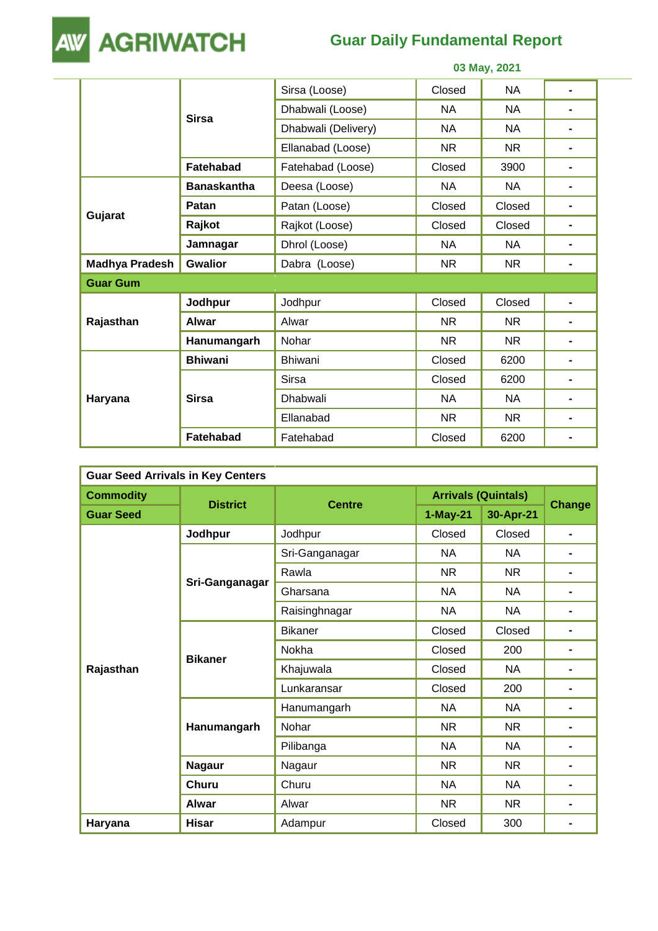

## **Guar Daily Fundamental Report**

|                       |                    | 03 May, 2021        |           |           |                |  |
|-----------------------|--------------------|---------------------|-----------|-----------|----------------|--|
|                       | <b>Sirsa</b>       | Sirsa (Loose)       | Closed    | <b>NA</b> | $\blacksquare$ |  |
|                       |                    | Dhabwali (Loose)    | <b>NA</b> | <b>NA</b> |                |  |
|                       |                    | Dhabwali (Delivery) | <b>NA</b> | <b>NA</b> |                |  |
|                       |                    | Ellanabad (Loose)   | <b>NR</b> | <b>NR</b> | -              |  |
|                       | Fatehabad          | Fatehabad (Loose)   | Closed    | 3900      | -              |  |
|                       | <b>Banaskantha</b> | Deesa (Loose)       | <b>NA</b> | <b>NA</b> | $\blacksquare$ |  |
|                       | Patan              | Patan (Loose)       | Closed    | Closed    | -              |  |
| Gujarat               | Rajkot             | Rajkot (Loose)      | Closed    | Closed    |                |  |
|                       | Jamnagar           | Dhrol (Loose)       | NA        | NA        |                |  |
| <b>Madhya Pradesh</b> | <b>Gwalior</b>     | Dabra (Loose)       | <b>NR</b> | NR.       |                |  |
| <b>Guar Gum</b>       |                    |                     |           |           |                |  |
|                       | Jodhpur            | Jodhpur             | Closed    | Closed    | -              |  |
| Rajasthan             | <b>Alwar</b>       | Alwar               | <b>NR</b> | <b>NR</b> | $\blacksquare$ |  |
|                       | Hanumangarh        | Nohar               | <b>NR</b> | <b>NR</b> | $\blacksquare$ |  |
|                       | <b>Bhiwani</b>     | <b>Bhiwani</b>      | Closed    | 6200      | $\blacksquare$ |  |
| Haryana               |                    | <b>Sirsa</b>        | Closed    | 6200      |                |  |
|                       | <b>Sirsa</b>       | <b>Dhabwali</b>     | <b>NA</b> | <b>NA</b> |                |  |
|                       |                    | Ellanabad           | <b>NR</b> | NR.       |                |  |
|                       | <b>Fatehabad</b>   | Fatehabad           | Closed    | 6200      |                |  |

| <b>Guar Seed Arrivals in Key Centers</b> |                 |                |                            |           |                |  |  |
|------------------------------------------|-----------------|----------------|----------------------------|-----------|----------------|--|--|
| <b>Commodity</b>                         |                 |                | <b>Arrivals (Quintals)</b> |           |                |  |  |
| <b>Guar Seed</b>                         | <b>District</b> | <b>Centre</b>  | $1-May-21$                 | 30-Apr-21 | <b>Change</b>  |  |  |
|                                          | Jodhpur         | Jodhpur        | Closed                     | Closed    | $\blacksquare$ |  |  |
|                                          |                 | Sri-Ganganagar | <b>NA</b>                  | <b>NA</b> | $\blacksquare$ |  |  |
|                                          |                 | Rawla          | <b>NR</b>                  | <b>NR</b> | $\blacksquare$ |  |  |
|                                          | Sri-Ganganagar  | Gharsana       | <b>NA</b>                  | <b>NA</b> | $\blacksquare$ |  |  |
|                                          |                 | Raisinghnagar  | <b>NA</b>                  | <b>NA</b> | $\blacksquare$ |  |  |
|                                          | <b>Bikaner</b>  | Bikaner        | Closed                     | Closed    | $\blacksquare$ |  |  |
|                                          |                 | Nokha          | Closed                     | 200       | $\blacksquare$ |  |  |
| Rajasthan                                |                 | Khajuwala      | Closed                     | <b>NA</b> |                |  |  |
|                                          |                 | Lunkaransar    | Closed                     | 200       |                |  |  |
|                                          | Hanumangarh     | Hanumangarh    | <b>NA</b>                  | <b>NA</b> | $\blacksquare$ |  |  |
|                                          |                 | Nohar          | <b>NR</b>                  | <b>NR</b> | $\blacksquare$ |  |  |
|                                          |                 | Pilibanga      | <b>NA</b>                  | <b>NA</b> |                |  |  |
|                                          | <b>Nagaur</b>   | Nagaur         | <b>NR</b>                  | <b>NR</b> |                |  |  |
|                                          | <b>Churu</b>    | Churu          | <b>NA</b>                  | <b>NA</b> |                |  |  |
|                                          | <b>Alwar</b>    | Alwar          | <b>NR</b>                  | <b>NR</b> |                |  |  |
| Haryana                                  | <b>Hisar</b>    | Adampur        | Closed                     | 300       |                |  |  |